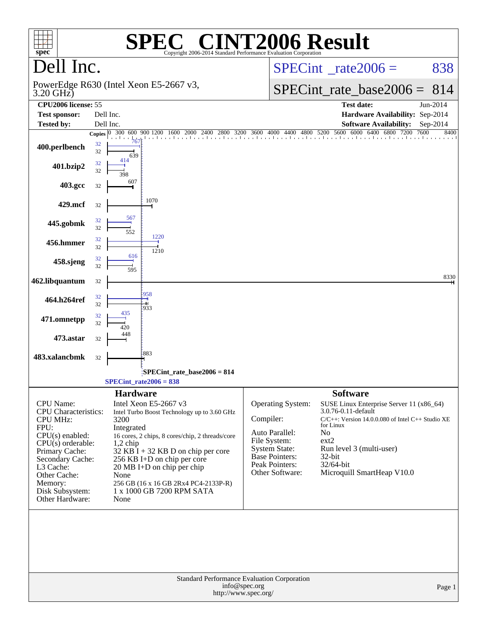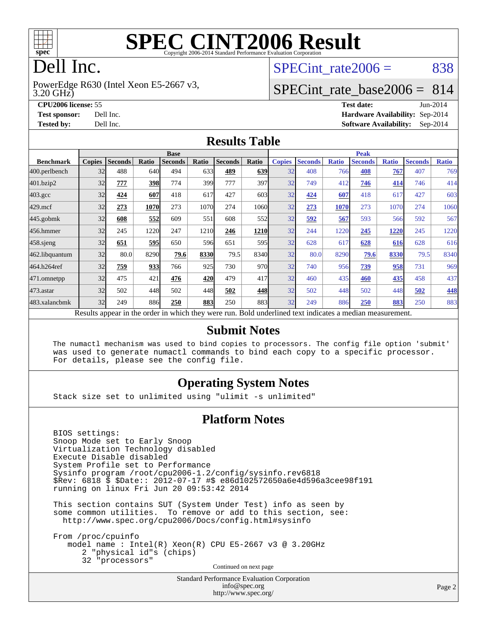

# **[SPEC CINT2006 Result](http://www.spec.org/auto/cpu2006/Docs/result-fields.html#SPECCINT2006Result)**

# Dell Inc.

3.20 GHz) PowerEdge R630 (Intel Xeon E5-2667 v3, SPECint rate $2006 = 838$ 

### [SPECint\\_rate\\_base2006 =](http://www.spec.org/auto/cpu2006/Docs/result-fields.html#SPECintratebase2006) 814

**[CPU2006 license:](http://www.spec.org/auto/cpu2006/Docs/result-fields.html#CPU2006license)** 55 **[Test date:](http://www.spec.org/auto/cpu2006/Docs/result-fields.html#Testdate)** Jun-2014 **[Test sponsor:](http://www.spec.org/auto/cpu2006/Docs/result-fields.html#Testsponsor)** Dell Inc. **[Hardware Availability:](http://www.spec.org/auto/cpu2006/Docs/result-fields.html#HardwareAvailability)** Sep-2014 **[Tested by:](http://www.spec.org/auto/cpu2006/Docs/result-fields.html#Testedby)** Dell Inc. **[Software Availability:](http://www.spec.org/auto/cpu2006/Docs/result-fields.html#SoftwareAvailability)** Sep-2014

#### **[Results Table](http://www.spec.org/auto/cpu2006/Docs/result-fields.html#ResultsTable)**

|                   | <b>Base</b>   |                |              |                |                  |                |       | <b>Peak</b>   |                |              |                                                                                                          |              |                |              |
|-------------------|---------------|----------------|--------------|----------------|------------------|----------------|-------|---------------|----------------|--------------|----------------------------------------------------------------------------------------------------------|--------------|----------------|--------------|
| <b>Benchmark</b>  | <b>Copies</b> | <b>Seconds</b> | Ratio        | <b>Seconds</b> | Ratio            | <b>Seconds</b> | Ratio | <b>Copies</b> | <b>Seconds</b> | <b>Ratio</b> | <b>Seconds</b>                                                                                           | <b>Ratio</b> | <b>Seconds</b> | <b>Ratio</b> |
| $ 400$ .perlbench | 32            | 488            | 640 <b>I</b> | 494            | 633              | 489            | 639   | 32            | 408            | 766          | 408                                                                                                      | 767          | 407            | 769          |
| 401.bzip2         | 32            | 777            | 398          | 774            | 399              | 777            | 397   | 32            | 749            | 412          | 746                                                                                                      | 414          | 746            | 414          |
| $403.\text{gcc}$  | 32            | 424            | 607          | 418            | 617              | 427            | 603   | 32            | 424            | 607          | 418                                                                                                      | 617          | 427            | 603          |
| $429$ .mcf        | 32            | 273            | 1070         | 273            | 1070             | 274            | 1060  | 32            | 273            | 1070         | 273                                                                                                      | 1070         | 274            | 1060         |
| $445$ .gobmk      | 32            | 608            | 552          | 609            | 551              | 608            | 552   | 32            | <u>592</u>     | 567          | 593                                                                                                      | 566          | 592            | 567          |
| 456.hmmer         | 32            | 245            | 1220         | 247            | 1210             | 246            | 1210  | 32            | 244            | 1220         | 245                                                                                                      | 1220         | 245            | 1220         |
| $458$ .sjeng      | 32            | 651            | 595          | 650            | 596 <sub>l</sub> | 651            | 595   | 32            | 628            | 617          | 628                                                                                                      | 616          | 628            | 616          |
| 462.libquantum    | 32            | 80.0           | 8290         | 79.6           | 8330             | 79.5           | 8340  | 32            | 80.0           | 8290         | 79.6                                                                                                     | 8330         | 79.5           | 8340         |
| 464.h264ref       | 32            | 759            | 933          | 766            | 925              | 730            | 970   | 32            | 740            | 956          | 739                                                                                                      | 958          | 731            | 969          |
| 471.omnetpp       | 32            | 475            | 421          | 476            | 420              | 479            | 417   | 32            | 460            | 435          | 460                                                                                                      | <u>435</u>   | 458            | 437          |
| $473$ . astar     | 32            | 502            | 448          | 502            | 448              | 502            | 448   | 32            | 502            | 448          | 502                                                                                                      | 448          | 502            | 448          |
| 483.xalancbmk     | 32            | 249            | 886          | 250            | 883              | 250            | 883   | 32            | 249            | 886          | 250                                                                                                      | 883          | 250            | 883          |
|                   |               |                |              |                |                  |                |       |               |                |              | Results appear in the order in which they were run. Bold underlined text indicates a median measurement. |              |                |              |

#### **[Submit Notes](http://www.spec.org/auto/cpu2006/Docs/result-fields.html#SubmitNotes)**

 The numactl mechanism was used to bind copies to processors. The config file option 'submit' was used to generate numactl commands to bind each copy to a specific processor. For details, please see the config file.

#### **[Operating System Notes](http://www.spec.org/auto/cpu2006/Docs/result-fields.html#OperatingSystemNotes)**

Stack size set to unlimited using "ulimit -s unlimited"

#### **[Platform Notes](http://www.spec.org/auto/cpu2006/Docs/result-fields.html#PlatformNotes)**

 BIOS settings: Snoop Mode set to Early Snoop Virtualization Technology disabled Execute Disable disabled System Profile set to Performance Sysinfo program /root/cpu2006-1.2/config/sysinfo.rev6818 \$Rev: 6818 \$ \$Date:: 2012-07-17 #\$ e86d102572650a6e4d596a3cee98f191 running on linux Fri Jun 20 09:53:42 2014

 This section contains SUT (System Under Test) info as seen by some common utilities. To remove or add to this section, see: <http://www.spec.org/cpu2006/Docs/config.html#sysinfo>

 From /proc/cpuinfo model name : Intel(R) Xeon(R) CPU E5-2667 v3 @ 3.20GHz 2 "physical id"s (chips) 32 "processors" Continued on next page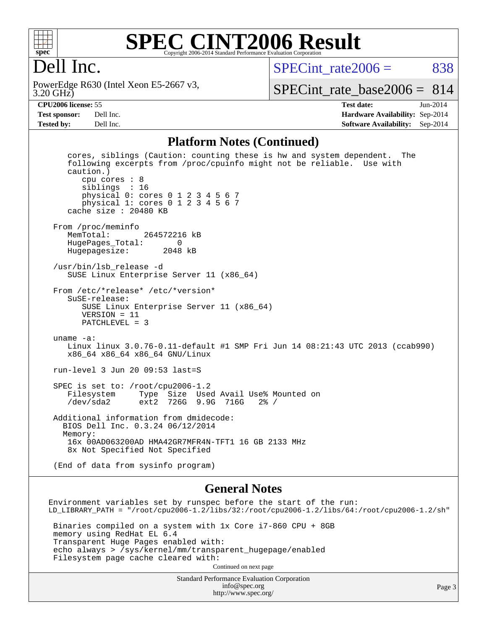

#### **[SPEC CINT2006 Result](http://www.spec.org/auto/cpu2006/Docs/result-fields.html#SPECCINT2006Result)** Copyright 2006-2014 Standard Performance Evaluation Corpora

## Dell Inc.

3.20 GHz) PowerEdge R630 (Intel Xeon E5-2667 v3,  $SPECint rate2006 = 838$ 

[SPECint\\_rate\\_base2006 =](http://www.spec.org/auto/cpu2006/Docs/result-fields.html#SPECintratebase2006) 814

**[CPU2006 license:](http://www.spec.org/auto/cpu2006/Docs/result-fields.html#CPU2006license)** 55 **[Test date:](http://www.spec.org/auto/cpu2006/Docs/result-fields.html#Testdate)** Jun-2014 **[Test sponsor:](http://www.spec.org/auto/cpu2006/Docs/result-fields.html#Testsponsor)** Dell Inc. **[Hardware Availability:](http://www.spec.org/auto/cpu2006/Docs/result-fields.html#HardwareAvailability)** Sep-2014 **[Tested by:](http://www.spec.org/auto/cpu2006/Docs/result-fields.html#Testedby)** Dell Inc. **[Software Availability:](http://www.spec.org/auto/cpu2006/Docs/result-fields.html#SoftwareAvailability)** Sep-2014

#### **[Platform Notes \(Continued\)](http://www.spec.org/auto/cpu2006/Docs/result-fields.html#PlatformNotes)**

 cores, siblings (Caution: counting these is hw and system dependent. The following excerpts from /proc/cpuinfo might not be reliable. Use with caution.) cpu cores : 8 siblings : 16 physical 0: cores 0 1 2 3 4 5 6 7 physical 1: cores 0 1 2 3 4 5 6 7 cache size : 20480 KB From /proc/meminfo<br>MemTotal: 264572216 kB HugePages\_Total: 0 Hugepagesize: 2048 kB /usr/bin/lsb\_release -d SUSE Linux Enterprise Server 11 (x86\_64) From /etc/\*release\* /etc/\*version\* SuSE-release: SUSE Linux Enterprise Server 11 (x86\_64) VERSION = 11 PATCHLEVEL = 3 uname -a: Linux linux 3.0.76-0.11-default #1 SMP Fri Jun 14 08:21:43 UTC 2013 (ccab990) x86\_64 x86\_64 x86\_64 GNU/Linux run-level 3 Jun 20 09:53 last=S SPEC is set to: /root/cpu2006-1.2 Filesystem Type Size Used Avail Use% Mounted on /dev/sda2 ext2 726G 9.9G 716G 2% / Additional information from dmidecode: BIOS Dell Inc. 0.3.24 06/12/2014 Memory: 16x 00AD063200AD HMA42GR7MFR4N-TFT1 16 GB 2133 MHz 8x Not Specified Not Specified (End of data from sysinfo program)

#### **[General Notes](http://www.spec.org/auto/cpu2006/Docs/result-fields.html#GeneralNotes)**

Environment variables set by runspec before the start of the run: LD\_LIBRARY\_PATH = "/root/cpu2006-1.2/libs/32:/root/cpu2006-1.2/libs/64:/root/cpu2006-1.2/sh" Binaries compiled on a system with 1x Core i7-860 CPU + 8GB memory using RedHat EL 6.4 Transparent Huge Pages enabled with: echo always > /sys/kernel/mm/transparent\_hugepage/enabled Filesystem page cache cleared with: Continued on next page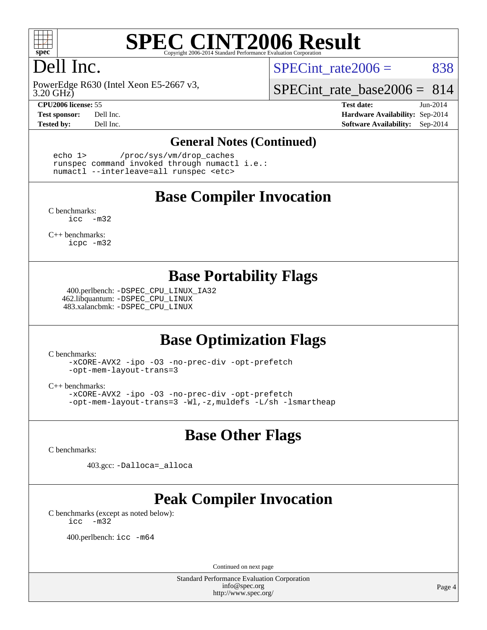

# **[SPEC CINT2006 Result](http://www.spec.org/auto/cpu2006/Docs/result-fields.html#SPECCINT2006Result)**

# Dell Inc.

3.20 GHz) PowerEdge R630 (Intel Xeon E5-2667 v3,

SPECint rate $2006 = 838$ 

SPECint rate base  $2006 = 814$ 

**[CPU2006 license:](http://www.spec.org/auto/cpu2006/Docs/result-fields.html#CPU2006license)** 55 **[Test date:](http://www.spec.org/auto/cpu2006/Docs/result-fields.html#Testdate)** Jun-2014 **[Test sponsor:](http://www.spec.org/auto/cpu2006/Docs/result-fields.html#Testsponsor)** Dell Inc. **[Hardware Availability:](http://www.spec.org/auto/cpu2006/Docs/result-fields.html#HardwareAvailability)** Sep-2014 **[Tested by:](http://www.spec.org/auto/cpu2006/Docs/result-fields.html#Testedby)** Dell Inc. **[Software Availability:](http://www.spec.org/auto/cpu2006/Docs/result-fields.html#SoftwareAvailability)** Sep-2014

#### **[General Notes \(Continued\)](http://www.spec.org/auto/cpu2006/Docs/result-fields.html#GeneralNotes)**

 echo 1> /proc/sys/vm/drop\_caches runspec command invoked through numactl i.e.: numactl --interleave=all runspec <etc>

#### **[Base Compiler Invocation](http://www.spec.org/auto/cpu2006/Docs/result-fields.html#BaseCompilerInvocation)**

[C benchmarks](http://www.spec.org/auto/cpu2006/Docs/result-fields.html#Cbenchmarks): [icc -m32](http://www.spec.org/cpu2006/results/res2014q3/cpu2006-20140909-31378.flags.html#user_CCbase_intel_icc_5ff4a39e364c98233615fdd38438c6f2)

[C++ benchmarks:](http://www.spec.org/auto/cpu2006/Docs/result-fields.html#CXXbenchmarks) [icpc -m32](http://www.spec.org/cpu2006/results/res2014q3/cpu2006-20140909-31378.flags.html#user_CXXbase_intel_icpc_4e5a5ef1a53fd332b3c49e69c3330699)

#### **[Base Portability Flags](http://www.spec.org/auto/cpu2006/Docs/result-fields.html#BasePortabilityFlags)**

 400.perlbench: [-DSPEC\\_CPU\\_LINUX\\_IA32](http://www.spec.org/cpu2006/results/res2014q3/cpu2006-20140909-31378.flags.html#b400.perlbench_baseCPORTABILITY_DSPEC_CPU_LINUX_IA32) 462.libquantum: [-DSPEC\\_CPU\\_LINUX](http://www.spec.org/cpu2006/results/res2014q3/cpu2006-20140909-31378.flags.html#b462.libquantum_baseCPORTABILITY_DSPEC_CPU_LINUX) 483.xalancbmk: [-DSPEC\\_CPU\\_LINUX](http://www.spec.org/cpu2006/results/res2014q3/cpu2006-20140909-31378.flags.html#b483.xalancbmk_baseCXXPORTABILITY_DSPEC_CPU_LINUX)

## **[Base Optimization Flags](http://www.spec.org/auto/cpu2006/Docs/result-fields.html#BaseOptimizationFlags)**

[C benchmarks](http://www.spec.org/auto/cpu2006/Docs/result-fields.html#Cbenchmarks):

[-xCORE-AVX2](http://www.spec.org/cpu2006/results/res2014q3/cpu2006-20140909-31378.flags.html#user_CCbase_f-xAVX2_5f5fc0cbe2c9f62c816d3e45806c70d7) [-ipo](http://www.spec.org/cpu2006/results/res2014q3/cpu2006-20140909-31378.flags.html#user_CCbase_f-ipo) [-O3](http://www.spec.org/cpu2006/results/res2014q3/cpu2006-20140909-31378.flags.html#user_CCbase_f-O3) [-no-prec-div](http://www.spec.org/cpu2006/results/res2014q3/cpu2006-20140909-31378.flags.html#user_CCbase_f-no-prec-div) [-opt-prefetch](http://www.spec.org/cpu2006/results/res2014q3/cpu2006-20140909-31378.flags.html#user_CCbase_f-opt-prefetch) [-opt-mem-layout-trans=3](http://www.spec.org/cpu2006/results/res2014q3/cpu2006-20140909-31378.flags.html#user_CCbase_f-opt-mem-layout-trans_a7b82ad4bd7abf52556d4961a2ae94d5)

[C++ benchmarks:](http://www.spec.org/auto/cpu2006/Docs/result-fields.html#CXXbenchmarks)

[-xCORE-AVX2](http://www.spec.org/cpu2006/results/res2014q3/cpu2006-20140909-31378.flags.html#user_CXXbase_f-xAVX2_5f5fc0cbe2c9f62c816d3e45806c70d7) [-ipo](http://www.spec.org/cpu2006/results/res2014q3/cpu2006-20140909-31378.flags.html#user_CXXbase_f-ipo) [-O3](http://www.spec.org/cpu2006/results/res2014q3/cpu2006-20140909-31378.flags.html#user_CXXbase_f-O3) [-no-prec-div](http://www.spec.org/cpu2006/results/res2014q3/cpu2006-20140909-31378.flags.html#user_CXXbase_f-no-prec-div) [-opt-prefetch](http://www.spec.org/cpu2006/results/res2014q3/cpu2006-20140909-31378.flags.html#user_CXXbase_f-opt-prefetch) [-opt-mem-layout-trans=3](http://www.spec.org/cpu2006/results/res2014q3/cpu2006-20140909-31378.flags.html#user_CXXbase_f-opt-mem-layout-trans_a7b82ad4bd7abf52556d4961a2ae94d5) [-Wl,-z,muldefs](http://www.spec.org/cpu2006/results/res2014q3/cpu2006-20140909-31378.flags.html#user_CXXbase_link_force_multiple1_74079c344b956b9658436fd1b6dd3a8a) [-L/sh -lsmartheap](http://www.spec.org/cpu2006/results/res2014q3/cpu2006-20140909-31378.flags.html#user_CXXbase_SmartHeap_32f6c82aa1ed9c52345d30cf6e4a0499)

### **[Base Other Flags](http://www.spec.org/auto/cpu2006/Docs/result-fields.html#BaseOtherFlags)**

[C benchmarks](http://www.spec.org/auto/cpu2006/Docs/result-fields.html#Cbenchmarks):

403.gcc: [-Dalloca=\\_alloca](http://www.spec.org/cpu2006/results/res2014q3/cpu2006-20140909-31378.flags.html#b403.gcc_baseEXTRA_CFLAGS_Dalloca_be3056838c12de2578596ca5467af7f3)

# **[Peak Compiler Invocation](http://www.spec.org/auto/cpu2006/Docs/result-fields.html#PeakCompilerInvocation)**

[C benchmarks \(except as noted below\)](http://www.spec.org/auto/cpu2006/Docs/result-fields.html#Cbenchmarksexceptasnotedbelow): [icc -m32](http://www.spec.org/cpu2006/results/res2014q3/cpu2006-20140909-31378.flags.html#user_CCpeak_intel_icc_5ff4a39e364c98233615fdd38438c6f2)

400.perlbench: [icc -m64](http://www.spec.org/cpu2006/results/res2014q3/cpu2006-20140909-31378.flags.html#user_peakCCLD400_perlbench_intel_icc_64bit_bda6cc9af1fdbb0edc3795bac97ada53)

Continued on next page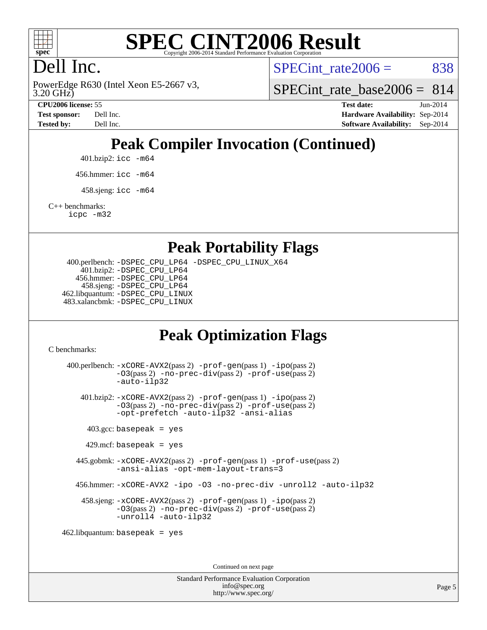

# **[SPEC CINT2006 Result](http://www.spec.org/auto/cpu2006/Docs/result-fields.html#SPECCINT2006Result)**

# Dell Inc.

3.20 GHz) PowerEdge R630 (Intel Xeon E5-2667 v3, SPECint rate $2006 = 838$ 

SPECint rate base2006 =  $814$ 

**[CPU2006 license:](http://www.spec.org/auto/cpu2006/Docs/result-fields.html#CPU2006license)** 55 **[Test date:](http://www.spec.org/auto/cpu2006/Docs/result-fields.html#Testdate)** Jun-2014 **[Test sponsor:](http://www.spec.org/auto/cpu2006/Docs/result-fields.html#Testsponsor)** Dell Inc. **[Hardware Availability:](http://www.spec.org/auto/cpu2006/Docs/result-fields.html#HardwareAvailability)** Sep-2014 **[Tested by:](http://www.spec.org/auto/cpu2006/Docs/result-fields.html#Testedby)** Dell Inc. **[Software Availability:](http://www.spec.org/auto/cpu2006/Docs/result-fields.html#SoftwareAvailability)** Sep-2014

# **[Peak Compiler Invocation \(Continued\)](http://www.spec.org/auto/cpu2006/Docs/result-fields.html#PeakCompilerInvocation)**

401.bzip2: [icc -m64](http://www.spec.org/cpu2006/results/res2014q3/cpu2006-20140909-31378.flags.html#user_peakCCLD401_bzip2_intel_icc_64bit_bda6cc9af1fdbb0edc3795bac97ada53)

456.hmmer: [icc -m64](http://www.spec.org/cpu2006/results/res2014q3/cpu2006-20140909-31378.flags.html#user_peakCCLD456_hmmer_intel_icc_64bit_bda6cc9af1fdbb0edc3795bac97ada53)

 $458 \text{.}$ sjeng: icc  $-\text{m64}$ 

[C++ benchmarks:](http://www.spec.org/auto/cpu2006/Docs/result-fields.html#CXXbenchmarks)

[icpc -m32](http://www.spec.org/cpu2006/results/res2014q3/cpu2006-20140909-31378.flags.html#user_CXXpeak_intel_icpc_4e5a5ef1a53fd332b3c49e69c3330699)

#### **[Peak Portability Flags](http://www.spec.org/auto/cpu2006/Docs/result-fields.html#PeakPortabilityFlags)**

 400.perlbench: [-DSPEC\\_CPU\\_LP64](http://www.spec.org/cpu2006/results/res2014q3/cpu2006-20140909-31378.flags.html#b400.perlbench_peakCPORTABILITY_DSPEC_CPU_LP64) [-DSPEC\\_CPU\\_LINUX\\_X64](http://www.spec.org/cpu2006/results/res2014q3/cpu2006-20140909-31378.flags.html#b400.perlbench_peakCPORTABILITY_DSPEC_CPU_LINUX_X64) 401.bzip2: [-DSPEC\\_CPU\\_LP64](http://www.spec.org/cpu2006/results/res2014q3/cpu2006-20140909-31378.flags.html#suite_peakCPORTABILITY401_bzip2_DSPEC_CPU_LP64) 456.hmmer: [-DSPEC\\_CPU\\_LP64](http://www.spec.org/cpu2006/results/res2014q3/cpu2006-20140909-31378.flags.html#suite_peakCPORTABILITY456_hmmer_DSPEC_CPU_LP64) 458.sjeng: [-DSPEC\\_CPU\\_LP64](http://www.spec.org/cpu2006/results/res2014q3/cpu2006-20140909-31378.flags.html#suite_peakCPORTABILITY458_sjeng_DSPEC_CPU_LP64) 462.libquantum: [-DSPEC\\_CPU\\_LINUX](http://www.spec.org/cpu2006/results/res2014q3/cpu2006-20140909-31378.flags.html#b462.libquantum_peakCPORTABILITY_DSPEC_CPU_LINUX) 483.xalancbmk: [-DSPEC\\_CPU\\_LINUX](http://www.spec.org/cpu2006/results/res2014q3/cpu2006-20140909-31378.flags.html#b483.xalancbmk_peakCXXPORTABILITY_DSPEC_CPU_LINUX)

## **[Peak Optimization Flags](http://www.spec.org/auto/cpu2006/Docs/result-fields.html#PeakOptimizationFlags)**

[C benchmarks](http://www.spec.org/auto/cpu2006/Docs/result-fields.html#Cbenchmarks):

 400.perlbench: [-xCORE-AVX2](http://www.spec.org/cpu2006/results/res2014q3/cpu2006-20140909-31378.flags.html#user_peakPASS2_CFLAGSPASS2_LDCFLAGS400_perlbench_f-xAVX2_5f5fc0cbe2c9f62c816d3e45806c70d7)(pass 2) [-prof-gen](http://www.spec.org/cpu2006/results/res2014q3/cpu2006-20140909-31378.flags.html#user_peakPASS1_CFLAGSPASS1_LDCFLAGS400_perlbench_prof_gen_e43856698f6ca7b7e442dfd80e94a8fc)(pass 1) [-ipo](http://www.spec.org/cpu2006/results/res2014q3/cpu2006-20140909-31378.flags.html#user_peakPASS2_CFLAGSPASS2_LDCFLAGS400_perlbench_f-ipo)(pass 2) [-O3](http://www.spec.org/cpu2006/results/res2014q3/cpu2006-20140909-31378.flags.html#user_peakPASS2_CFLAGSPASS2_LDCFLAGS400_perlbench_f-O3)(pass 2) [-no-prec-div](http://www.spec.org/cpu2006/results/res2014q3/cpu2006-20140909-31378.flags.html#user_peakPASS2_CFLAGSPASS2_LDCFLAGS400_perlbench_f-no-prec-div)(pass 2) [-prof-use](http://www.spec.org/cpu2006/results/res2014q3/cpu2006-20140909-31378.flags.html#user_peakPASS2_CFLAGSPASS2_LDCFLAGS400_perlbench_prof_use_bccf7792157ff70d64e32fe3e1250b55)(pass 2) [-auto-ilp32](http://www.spec.org/cpu2006/results/res2014q3/cpu2006-20140909-31378.flags.html#user_peakCOPTIMIZE400_perlbench_f-auto-ilp32) 401.bzip2: [-xCORE-AVX2](http://www.spec.org/cpu2006/results/res2014q3/cpu2006-20140909-31378.flags.html#user_peakPASS2_CFLAGSPASS2_LDCFLAGS401_bzip2_f-xAVX2_5f5fc0cbe2c9f62c816d3e45806c70d7)(pass 2) [-prof-gen](http://www.spec.org/cpu2006/results/res2014q3/cpu2006-20140909-31378.flags.html#user_peakPASS1_CFLAGSPASS1_LDCFLAGS401_bzip2_prof_gen_e43856698f6ca7b7e442dfd80e94a8fc)(pass 1) [-ipo](http://www.spec.org/cpu2006/results/res2014q3/cpu2006-20140909-31378.flags.html#user_peakPASS2_CFLAGSPASS2_LDCFLAGS401_bzip2_f-ipo)(pass 2) [-O3](http://www.spec.org/cpu2006/results/res2014q3/cpu2006-20140909-31378.flags.html#user_peakPASS2_CFLAGSPASS2_LDCFLAGS401_bzip2_f-O3)(pass 2) [-no-prec-div](http://www.spec.org/cpu2006/results/res2014q3/cpu2006-20140909-31378.flags.html#user_peakPASS2_CFLAGSPASS2_LDCFLAGS401_bzip2_f-no-prec-div)(pass 2) [-prof-use](http://www.spec.org/cpu2006/results/res2014q3/cpu2006-20140909-31378.flags.html#user_peakPASS2_CFLAGSPASS2_LDCFLAGS401_bzip2_prof_use_bccf7792157ff70d64e32fe3e1250b55)(pass 2) [-opt-prefetch](http://www.spec.org/cpu2006/results/res2014q3/cpu2006-20140909-31378.flags.html#user_peakCOPTIMIZE401_bzip2_f-opt-prefetch) [-auto-ilp32](http://www.spec.org/cpu2006/results/res2014q3/cpu2006-20140909-31378.flags.html#user_peakCOPTIMIZE401_bzip2_f-auto-ilp32) [-ansi-alias](http://www.spec.org/cpu2006/results/res2014q3/cpu2006-20140909-31378.flags.html#user_peakCOPTIMIZE401_bzip2_f-ansi-alias)  $403.\text{gcc: basepeak}$  = yes  $429$ .mcf: basepeak = yes 445.gobmk: [-xCORE-AVX2](http://www.spec.org/cpu2006/results/res2014q3/cpu2006-20140909-31378.flags.html#user_peakPASS2_CFLAGSPASS2_LDCFLAGS445_gobmk_f-xAVX2_5f5fc0cbe2c9f62c816d3e45806c70d7)(pass 2) [-prof-gen](http://www.spec.org/cpu2006/results/res2014q3/cpu2006-20140909-31378.flags.html#user_peakPASS1_CFLAGSPASS1_LDCFLAGS445_gobmk_prof_gen_e43856698f6ca7b7e442dfd80e94a8fc)(pass 1) [-prof-use](http://www.spec.org/cpu2006/results/res2014q3/cpu2006-20140909-31378.flags.html#user_peakPASS2_CFLAGSPASS2_LDCFLAGS445_gobmk_prof_use_bccf7792157ff70d64e32fe3e1250b55)(pass 2) [-ansi-alias](http://www.spec.org/cpu2006/results/res2014q3/cpu2006-20140909-31378.flags.html#user_peakCOPTIMIZE445_gobmk_f-ansi-alias) [-opt-mem-layout-trans=3](http://www.spec.org/cpu2006/results/res2014q3/cpu2006-20140909-31378.flags.html#user_peakCOPTIMIZE445_gobmk_f-opt-mem-layout-trans_a7b82ad4bd7abf52556d4961a2ae94d5) 456.hmmer: [-xCORE-AVX2](http://www.spec.org/cpu2006/results/res2014q3/cpu2006-20140909-31378.flags.html#user_peakCOPTIMIZE456_hmmer_f-xAVX2_5f5fc0cbe2c9f62c816d3e45806c70d7) [-ipo](http://www.spec.org/cpu2006/results/res2014q3/cpu2006-20140909-31378.flags.html#user_peakCOPTIMIZE456_hmmer_f-ipo) [-O3](http://www.spec.org/cpu2006/results/res2014q3/cpu2006-20140909-31378.flags.html#user_peakCOPTIMIZE456_hmmer_f-O3) [-no-prec-div](http://www.spec.org/cpu2006/results/res2014q3/cpu2006-20140909-31378.flags.html#user_peakCOPTIMIZE456_hmmer_f-no-prec-div) [-unroll2](http://www.spec.org/cpu2006/results/res2014q3/cpu2006-20140909-31378.flags.html#user_peakCOPTIMIZE456_hmmer_f-unroll_784dae83bebfb236979b41d2422d7ec2) [-auto-ilp32](http://www.spec.org/cpu2006/results/res2014q3/cpu2006-20140909-31378.flags.html#user_peakCOPTIMIZE456_hmmer_f-auto-ilp32) 458.sjeng: [-xCORE-AVX2](http://www.spec.org/cpu2006/results/res2014q3/cpu2006-20140909-31378.flags.html#user_peakPASS2_CFLAGSPASS2_LDCFLAGS458_sjeng_f-xAVX2_5f5fc0cbe2c9f62c816d3e45806c70d7)(pass 2) [-prof-gen](http://www.spec.org/cpu2006/results/res2014q3/cpu2006-20140909-31378.flags.html#user_peakPASS1_CFLAGSPASS1_LDCFLAGS458_sjeng_prof_gen_e43856698f6ca7b7e442dfd80e94a8fc)(pass 1) [-ipo](http://www.spec.org/cpu2006/results/res2014q3/cpu2006-20140909-31378.flags.html#user_peakPASS2_CFLAGSPASS2_LDCFLAGS458_sjeng_f-ipo)(pass 2) [-O3](http://www.spec.org/cpu2006/results/res2014q3/cpu2006-20140909-31378.flags.html#user_peakPASS2_CFLAGSPASS2_LDCFLAGS458_sjeng_f-O3)(pass 2) [-no-prec-div](http://www.spec.org/cpu2006/results/res2014q3/cpu2006-20140909-31378.flags.html#user_peakPASS2_CFLAGSPASS2_LDCFLAGS458_sjeng_f-no-prec-div)(pass 2) [-prof-use](http://www.spec.org/cpu2006/results/res2014q3/cpu2006-20140909-31378.flags.html#user_peakPASS2_CFLAGSPASS2_LDCFLAGS458_sjeng_prof_use_bccf7792157ff70d64e32fe3e1250b55)(pass 2) [-unroll4](http://www.spec.org/cpu2006/results/res2014q3/cpu2006-20140909-31378.flags.html#user_peakCOPTIMIZE458_sjeng_f-unroll_4e5e4ed65b7fd20bdcd365bec371b81f) [-auto-ilp32](http://www.spec.org/cpu2006/results/res2014q3/cpu2006-20140909-31378.flags.html#user_peakCOPTIMIZE458_sjeng_f-auto-ilp32) 462.libquantum: basepeak = yes

Continued on next page